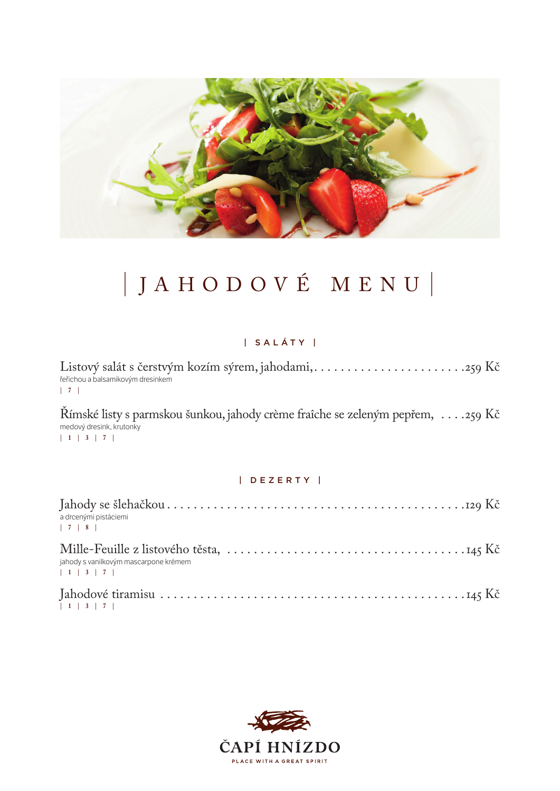

# | JAHODOVÉ MENU |

## | S A L Á T Y |

Listový salát s čerstvým kozím sýrem, jahodami, . . . . . . . . . . . . . . . . . . . . . . 259 Kč řeřichou a balsamikovým dresinkem **| 7 |** 

Římské listy s parmskou šunkou, jahody crème fraîche se zeleným pepřem, . . . 259 Kč medový dresink, krutonky **| 1 | 3 | 7 |** 

### | D E Z E R T Y |

| a drcenými pistáciemi                                  |  |
|--------------------------------------------------------|--|
| jahody s vanilkovým mascarpone krémem<br>$1 \ 3 \ 7 \$ |  |
| 1 1 3 7                                                |  |